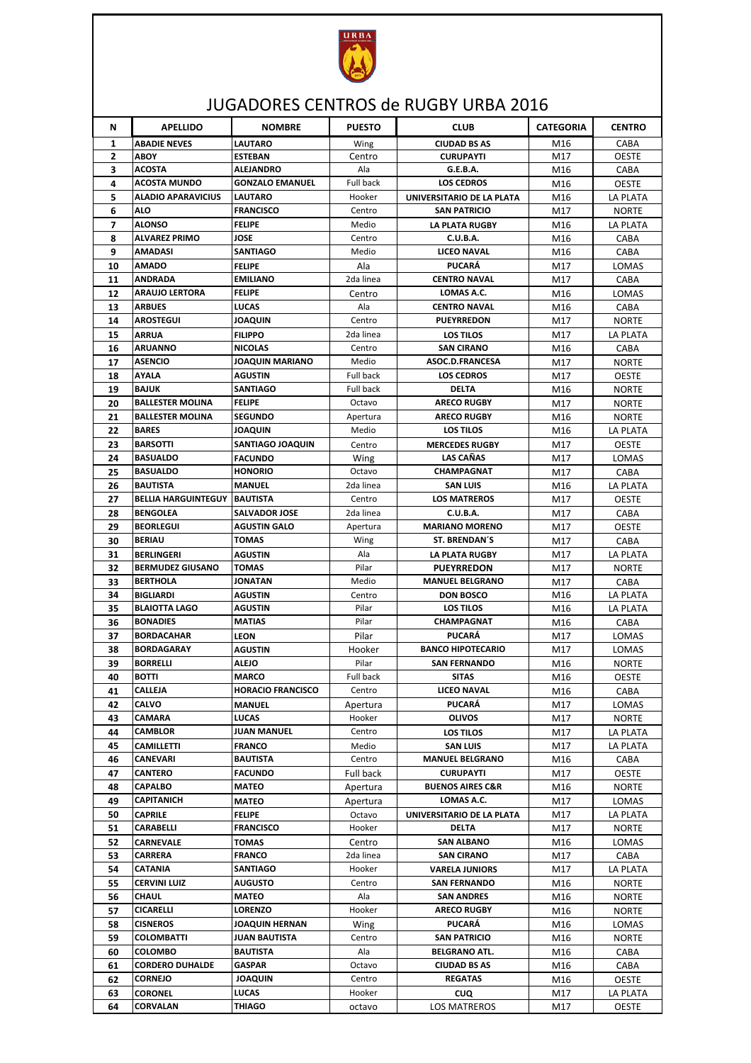

## JUGADORES CENTROS de RUGBY URBA 2016

| N                   | <b>APELLIDO</b>                         | <b>NOMBRE</b>                    | <b>PUESTO</b>    | <b>CLUB</b>                             | <b>CATEGORIA</b> | <b>CENTRO</b>        |
|---------------------|-----------------------------------------|----------------------------------|------------------|-----------------------------------------|------------------|----------------------|
|                     |                                         |                                  |                  |                                         |                  |                      |
| 1<br>$\overline{2}$ | <b>ABADIE NEVES</b><br><b>ABOY</b>      | <b>LAUTARO</b><br><b>ESTEBAN</b> | Wing<br>Centro   | <b>CIUDAD BS AS</b><br><b>CURUPAYTI</b> | M16<br>M17       | CABA<br><b>OESTE</b> |
| 3                   | <b>ACOSTA</b>                           | <b>ALEJANDRO</b>                 | Ala              | G.E.B.A.                                | M16              | CABA                 |
| 4                   | <b>ACOSTA MUNDO</b>                     | <b>GONZALO EMANUEL</b>           | <b>Full back</b> | <b>LOS CEDROS</b>                       | M16              | <b>OESTE</b>         |
| 5                   | <b>ALADIO APARAVICIUS</b>               | <b>LAUTARO</b>                   | Hooker           | UNIVERSITARIO DE LA PLATA               | M16              | LA PLATA             |
| 6                   | <b>ALO</b>                              | <b>FRANCISCO</b>                 | Centro           | <b>SAN PATRICIO</b>                     | M17              | <b>NORTE</b>         |
| $\overline{ }$      | <b>ALONSO</b>                           | <b>FELIPE</b>                    | Medio            | LA PLATA RUGBY                          | M16              | <b>LA PLATA</b>      |
| 8                   | <b>ALVAREZ PRIMO</b>                    | <b>JOSE</b>                      | Centro           | <b>C.U.B.A.</b>                         | M16              | CABA                 |
| 9                   | AMADASI                                 | <b>SANTIAGO</b>                  | Medio            | <b>LICEO NAVAL</b>                      | M16              | CABA                 |
| 10                  | <b>AMADO</b>                            | <b>FELIPE</b>                    | Ala              | <b>PUCARÁ</b>                           | M17              | LOMAS                |
| 11                  | <b>ANDRADA</b>                          | <b>EMILIANO</b>                  | 2da linea        | <b>CENTRO NAVAL</b>                     | M17              | CABA                 |
| 12                  | <b>ARAUJO LERTORA</b>                   | <b>FELIPE</b>                    | Centro           | LOMAS A.C.                              | M16              | LOMAS                |
| 13                  | <b>ARBUES</b>                           | <b>LUCAS</b>                     | Ala              | <b>CENTRO NAVAL</b>                     | M16              | CABA                 |
| 14                  | <b>AROSTEGUI</b>                        | <b>JOAQUIN</b>                   | Centro           | <b>PUEYRREDON</b>                       | M17              | <b>NORTE</b>         |
| 15                  | <b>ARRUA</b>                            | <b>FILIPPO</b>                   | 2da linea        | LOS TILOS                               | M17              | LA PLATA             |
| 16                  | <b>ARUANNO</b>                          | <b>NICOLAS</b>                   | Centro           | <b>SAN CIRANO</b>                       | M16              | CABA                 |
| 17                  | <b>ASENCIO</b>                          | <b>JOAQUIN MARIANO</b>           | Medio            | ASOC.D.FRANCESA                         | M17              | <b>NORTE</b>         |
| 18                  | <b>AYALA</b>                            | <b>AGUSTIN</b>                   | Full back        | <b>LOS CEDROS</b>                       | M17              | <b>OESTE</b>         |
| 19                  | <b>BAJUK</b>                            | <b>SANTIAGO</b>                  | Full back        | <b>DELTA</b>                            | M16              | <b>NORTE</b>         |
| 20                  | <b>BALLESTER MOLINA</b>                 | <b>FELIPE</b>                    | Octavo           | <b>ARECO RUGBY</b>                      | M17              | <b>NORTE</b>         |
| 21                  | <b>BALLESTER MOLINA</b>                 | <b>SEGUNDO</b>                   | Apertura         | <b>ARECO RUGBY</b>                      | M16              | <b>NORTE</b>         |
| 22                  | <b>BARES</b>                            | <b>JOAQUIN</b>                   | Medio            | <b>LOS TILOS</b>                        | M16              | <b>LA PLATA</b>      |
| 23                  | <b>BARSOTTI</b>                         | <b>SANTIAGO JOAQUIN</b>          | Centro           | <b>MERCEDES RUGBY</b>                   | M17              | <b>OESTE</b>         |
| 24                  | <b>BASUALDO</b>                         | <b>FACUNDO</b>                   | Wing             | <b>LAS CAÑAS</b>                        | M17              | LOMAS                |
| 25                  | <b>BASUALDO</b>                         | <b>HONORIO</b>                   | Octavo           | CHAMPAGNAT                              | M17              | CABA                 |
| 26                  | <b>BAUTISTA</b>                         | <b>MANUEL</b>                    | 2da linea        | <b>SAN LUIS</b>                         | M16              | <b>LA PLATA</b>      |
| 27                  | <b>BELLIA HARGUINTEGUY</b>              | <b>BAUTISTA</b>                  | Centro           | <b>LOS MATREROS</b>                     | M17              | <b>OESTE</b>         |
| 28                  | <b>BENGOLEA</b>                         | <b>SALVADOR JOSE</b>             | 2da linea        | <b>C.U.B.A.</b>                         | M17              | CABA                 |
| 29                  | <b>BEORLEGUI</b>                        | <b>AGUSTIN GALO</b>              | Apertura         | <b>MARIANO MORENO</b>                   | M17              | <b>OESTE</b>         |
| 30                  | <b>BERIAU</b>                           | <b>TOMAS</b>                     | Wing             | <b>ST. BRENDAN'S</b>                    | M17              | CABA                 |
| 31                  | <b>BERLINGERI</b>                       | <b>AGUSTIN</b>                   | Ala              | LA PLATA RUGBY                          | M17              | LA PLATA             |
| 32                  | <b>BERMUDEZ GIUSANO</b>                 | <b>TOMAS</b>                     | Pilar            | <b>PUEYRREDON</b>                       | M17              | <b>NORTE</b>         |
| 33                  | <b>BERTHOLA</b>                         | <b>JONATAN</b>                   | Medio            | <b>MANUEL BELGRANO</b>                  | M17              | CABA                 |
| 34                  | <b>BIGLIARDI</b>                        | <b>AGUSTIN</b>                   | Centro           | <b>DON BOSCO</b>                        | M16              | <b>LA PLATA</b>      |
| 35                  | <b>BLAIOTTA LAGO</b><br><b>BONADIES</b> | <b>AGUSTIN</b>                   | Pilar<br>Pilar   | <b>LOS TILOS</b><br><b>CHAMPAGNAT</b>   | M16              | <b>LA PLATA</b>      |
| 36<br>37            | <b>BORDACAHAR</b>                       | <b>MATIAS</b>                    | Pilar            | <b>PUCARÁ</b>                           | M16              | CABA                 |
| 38                  | <b>BORDAGARAY</b>                       | <b>LEON</b><br><b>AGUSTIN</b>    | Hooker           | <b>BANCO HIPOTECARIO</b>                | M17<br>M17       | LOMAS<br>LOMAS       |
| 39                  | <b>BORRELLI</b>                         | <b>ALEJO</b>                     | Pilar            | <b>SAN FERNANDO</b>                     | M16              | <b>NORTE</b>         |
| 40                  | <b>BOTTI</b>                            | <b>MARCO</b>                     | Full back        | <b>SITAS</b>                            | M16              | <b>OESTE</b>         |
| 41                  | <b>CALLEJA</b>                          | <b>HORACIO FRANCISCO</b>         | Centro           | LICEO NAVAL                             | M16              | CABA                 |
| 42                  | CALVO                                   | <b>MANUEL</b>                    | Apertura         | <b>PUCARÁ</b>                           | M17              | LOMAS                |
| 43                  | <b>CAMARA</b>                           | <b>LUCAS</b>                     | Hooker           | <b>OLIVOS</b>                           | M17              | <b>NORTE</b>         |
| 44                  | <b>CAMBLOR</b>                          | <b>JUAN MANUEL</b>               | Centro           | <b>LOS TILOS</b>                        | M17              | LA PLATA             |
| 45                  | <b>CAMILLETTI</b>                       | <b>FRANCO</b>                    | Medio            | <b>SAN LUIS</b>                         | M17              | LA PLATA             |
| 46                  | <b>CANEVARI</b>                         | <b>BAUTISTA</b>                  | Centro           | <b>MANUEL BELGRANO</b>                  | M16              | CABA                 |
| 47                  | <b>CANTERO</b>                          | <b>FACUNDO</b>                   | Full back        | <b>CURUPAYTI</b>                        | M17              | <b>OESTE</b>         |
| 48                  | <b>CAPALBO</b>                          | <b>MATEO</b>                     | Apertura         | <b>BUENOS AIRES C&amp;R</b>             | M16              | NORTE                |
| 49                  | <b>CAPITANICH</b>                       | <b>MATEO</b>                     | Apertura         | LOMAS A.C.                              | M17              | LOMAS                |
| 50                  | <b>CAPRILE</b>                          | <b>FELIPE</b>                    | Octavo           | UNIVERSITARIO DE LA PLATA               | M17              | LA PLATA             |
| 51                  | <b>CARABELLI</b>                        | <b>FRANCISCO</b>                 | Hooker           | <b>DELTA</b>                            | M17              | <b>NORTE</b>         |
| 52                  | <b>CARNEVALE</b>                        | TOMAS                            | Centro           | <b>SAN ALBANO</b>                       | M16              | LOMAS                |
| 53                  | <b>CARRERA</b>                          | <b>FRANCO</b>                    | 2da linea        | <b>SAN CIRANO</b>                       | M17              | CABA                 |
| 54                  | CATANIA                                 | <b>SANTIAGO</b>                  | Hooker           | <b>VARELA JUNIORS</b>                   | M17              | LA PLATA             |
| 55                  | <b>CERVINI LUIZ</b>                     | <b>AUGUSTO</b>                   | Centro           | <b>SAN FERNANDO</b>                     | M16              | <b>NORTE</b>         |
| 56                  | <b>CHAUL</b>                            | <b>MATEO</b>                     | Ala              | <b>SAN ANDRES</b>                       | M16              | <b>NORTE</b>         |
| 57                  | <b>CICARELLI</b>                        | LORENZO                          | Hooker           | <b>ARECO RUGBY</b>                      | M16              | <b>NORTE</b>         |
| 58                  | <b>CISNEROS</b>                         | <b>JOAQUIN HERNAN</b>            | Wing             | <b>PUCARÁ</b>                           | M16              | LOMAS                |
| 59                  | <b>COLOMBATTI</b>                       | <b>JUAN BAUTISTA</b>             | Centro           | <b>SAN PATRICIO</b>                     | M16              | NORTE                |
| 60                  | <b>COLOMBO</b>                          | <b>BAUTISTA</b>                  | Ala              | <b>BELGRANO ATL.</b>                    | M16              | CABA                 |
| 61                  | <b>CORDERO DUHALDE</b>                  | <b>GASPAR</b>                    | Octavo           | <b>CIUDAD BS AS</b>                     | M16              | CABA                 |
| 62                  | <b>CORNEJO</b>                          | <b>JOAQUIN</b>                   | Centro           | <b>REGATAS</b>                          | M16              | <b>OESTE</b>         |
| 63                  | <b>CORONEL</b>                          | <b>LUCAS</b>                     | Hooker           | CUQ                                     | M17              | LA PLATA             |
| 64                  | <b>CORVALAN</b>                         | <b>THIAGO</b>                    | octavo           | LOS MATREROS                            | M17              | <b>OESTE</b>         |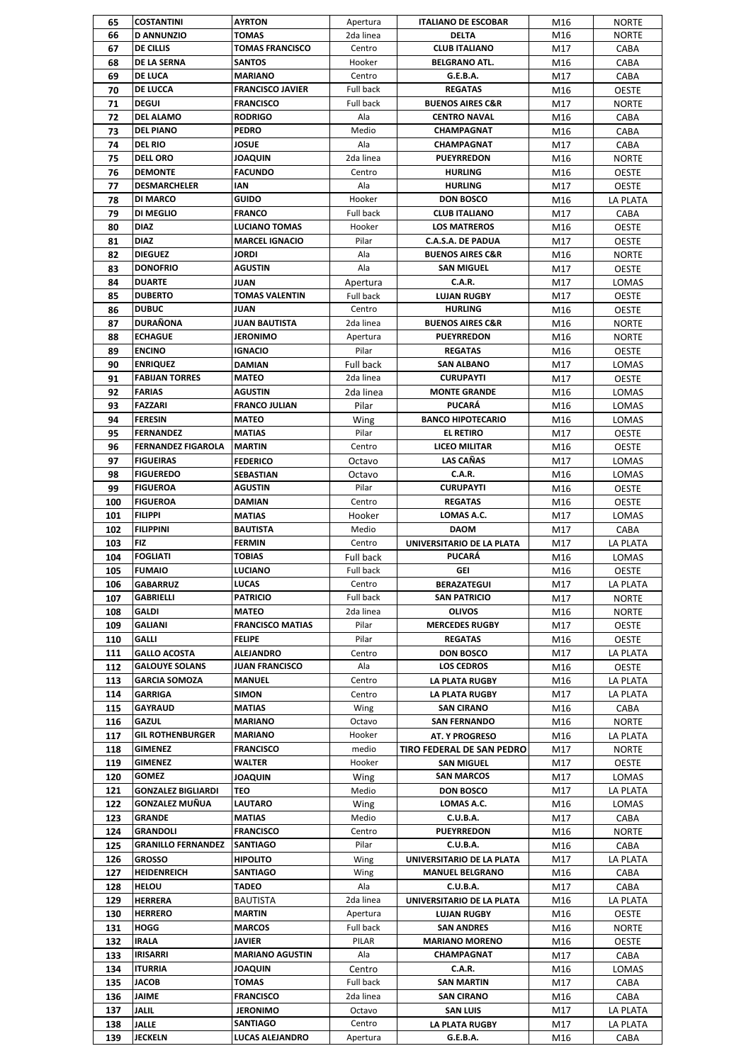| 65         | <b>COSTANTINI</b>                     | <b>AYRTON</b>            | Apertura            | <b>ITALIANO DE ESCOBAR</b>                  | M16        | <b>NORTE</b>                 |
|------------|---------------------------------------|--------------------------|---------------------|---------------------------------------------|------------|------------------------------|
| 66         | <b>D ANNUNZIO</b>                     | <b>TOMAS</b>             | 2da linea           | <b>DELTA</b>                                | M16        | <b>NORTE</b>                 |
| 67         | DE CILLIS                             | <b>TOMAS FRANCISCO</b>   | Centro              | <b>CLUB ITALIANO</b>                        | M17        | CABA                         |
| 68         | DE LA SERNA                           | <b>SANTOS</b>            | Hooker              | <b>BELGRANO ATL.</b>                        | M16        | CABA                         |
| 69         | <b>DE LUCA</b>                        | <b>MARIANO</b>           | Centro              | G.E.B.A.                                    | M17        | CABA                         |
| 70         | DE LUCCA                              | <b>FRANCISCO JAVIER</b>  | <b>Full back</b>    | <b>REGATAS</b>                              | M16        | <b>OESTE</b>                 |
| 71         | <b>DEGUI</b>                          | <b>FRANCISCO</b>         | <b>Full back</b>    | <b>BUENOS AIRES C&amp;R</b>                 | M17        | <b>NORTE</b>                 |
| 72         | <b>DEL ALAMO</b>                      | <b>RODRIGO</b>           | Ala                 | <b>CENTRO NAVAL</b>                         | M16        | CABA                         |
| 73         | <b>DEL PIANO</b>                      | <b>PEDRO</b>             | Medio               | CHAMPAGNAT                                  | M16        | CABA                         |
| 74         | <b>DEL RIO</b>                        | <b>JOSUE</b>             | Ala                 | CHAMPAGNAT                                  | M17        | CABA                         |
| 75         | <b>DELL ORO</b>                       | <b>JOAQUIN</b>           | 2da linea           | <b>PUEYRREDON</b>                           | M16        | <b>NORTE</b>                 |
| 76         | <b>DEMONTE</b><br><b>DESMARCHELER</b> | <b>FACUNDO</b>           | Centro              | <b>HURLING</b>                              | M16        | <b>OESTE</b>                 |
| 77         | DI MARCO                              | IAN<br>GUIDO             | Ala                 | <b>HURLING</b><br><b>DON BOSCO</b>          | M17        | <b>OESTE</b>                 |
| 78         | DI MEGLIO                             | <b>FRANCO</b>            | Hooker<br>Full back |                                             | M16        | LA PLATA                     |
| 79         | <b>DIAZ</b>                           | <b>LUCIANO TOMAS</b>     | Hooker              | <b>CLUB ITALIANO</b><br><b>LOS MATREROS</b> | M17        | CABA                         |
| 80<br>81   | <b>DIAZ</b>                           | <b>MARCEL IGNACIO</b>    | Pilar               | C.A.S.A. DE PADUA                           | M16<br>M17 | <b>OESTE</b><br><b>OESTE</b> |
| 82         | <b>DIEGUEZ</b>                        | <b>JORDI</b>             | Ala                 | <b>BUENOS AIRES C&amp;R</b>                 | M16        | <b>NORTE</b>                 |
| 83         | <b>DONOFRIO</b>                       | <b>AGUSTIN</b>           | Ala                 | <b>SAN MIGUEL</b>                           | M17        | OESTE                        |
| 84         | <b>DUARTE</b>                         | <b>JUAN</b>              | Apertura            | <b>C.A.R.</b>                               | M17        | LOMAS                        |
| 85         | <b>DUBERTO</b>                        | <b>TOMAS VALENTIN</b>    | Full back           | <b>LUJAN RUGBY</b>                          | M17        | <b>OESTE</b>                 |
| 86         | <b>DUBUC</b>                          | JUAN                     | Centro              | <b>HURLING</b>                              | M16        | <b>OESTE</b>                 |
| 87         | <b>DURAÑONA</b>                       | <b>JUAN BAUTISTA</b>     | 2da linea           | <b>BUENOS AIRES C&amp;R</b>                 | M16        | <b>NORTE</b>                 |
| 88         | <b>ECHAGUE</b>                        | <b>JERONIMO</b>          | Apertura            | <b>PUEYRREDON</b>                           | M16        | <b>NORTE</b>                 |
| 89         | <b>ENCINO</b>                         | <b>IGNACIO</b>           | Pilar               | <b>REGATAS</b>                              | M16        | <b>OESTE</b>                 |
| 90         | <b>ENRIQUEZ</b>                       | <b>DAMIAN</b>            | Full back           | <b>SAN ALBANO</b>                           | M17        | LOMAS                        |
| 91         | <b>FABIJAN TORRES</b>                 | <b>MATEO</b>             | 2da linea           | <b>CURUPAYTI</b>                            | M17        | <b>OESTE</b>                 |
| 92         | <b>FARIAS</b>                         | <b>AGUSTIN</b>           | 2da linea           | <b>MONTE GRANDE</b>                         | M16        | LOMAS                        |
| 93         | <b>FAZZARI</b>                        | <b>FRANCO JULIAN</b>     | Pilar               | <b>PUCARÁ</b>                               | M16        | LOMAS                        |
| 94         | <b>FERESIN</b>                        | <b>MATEO</b>             | Wing                | <b>BANCO HIPOTECARIO</b>                    | M16        | LOMAS                        |
| 95         | <b>FERNANDEZ</b>                      | <b>MATIAS</b>            | Pilar               | <b>EL RETIRO</b>                            | M17        | <b>OESTE</b>                 |
| 96         | <b>FERNANDEZ FIGAROLA</b>             | <b>MARTIN</b>            | Centro              | <b>LICEO MILITAR</b>                        | M16        | <b>OESTE</b>                 |
| 97         | <b>FIGUEIRAS</b>                      | <b>FEDERICO</b>          | Octavo              | <b>LAS CAÑAS</b>                            | M17        | LOMAS                        |
| 98         | <b>FIGUEREDO</b>                      | SEBASTIAN                | Octavo              | <b>C.A.R.</b>                               | M16        | LOMAS                        |
| 99         | <b>FIGUEROA</b>                       | <b>AGUSTIN</b>           | Pilar               | <b>CURUPAYTI</b>                            | M16        | <b>OESTE</b>                 |
| 100        | <b>FIGUEROA</b>                       | DAMIAN                   | Centro              | <b>REGATAS</b>                              | M16        | <b>OESTE</b>                 |
| 101        | <b>FILIPPI</b>                        | <b>MATIAS</b>            | Hooker              | LOMAS A.C.                                  | M17        | LOMAS                        |
| 102        | <b>FILIPPINI</b>                      | <b>BAUTISTA</b>          | Medio               | <b>DAOM</b>                                 | M17        | CABA                         |
| 103        | <b>FIZ</b>                            | <b>FERMIN</b>            | Centro              | UNIVERSITARIO DE LA PLATA                   | M17        | LA PLATA                     |
| 104        | <b>FOGLIATI</b>                       | <b>TOBIAS</b>            | <b>Full back</b>    | <b>PUCARÁ</b>                               | M16        | LOMAS                        |
| 105        | <b>FUMAIO</b>                         | <b>LUCIANO</b>           | <b>Full back</b>    | GFI                                         | M16        | <b>OESTE</b>                 |
| 106        | <b>GABARRUZ</b>                       | <b>LUCAS</b>             | Centro              | <b>BERAZATEGUI</b>                          | M17        | LA PLATA                     |
| 107        | GABRIELLI                             | <b>PATRICIO</b>          | Full back           | <b>SAN PATRICIO</b>                         | M17        | <b>NORTE</b>                 |
| 108        | GALDI                                 | <b>MATEO</b>             | 2da linea           | <b>OLIVOS</b>                               | M16        | <b>NORTE</b>                 |
| 109        | <b>GALIANI</b>                        | <b>FRANCISCO MATIAS</b>  | Pilar               | <b>MERCEDES RUGBY</b>                       | M17        | <b>OESTE</b>                 |
| 110        | <b>GALLI</b>                          | <b>FELIPE</b>            | Pilar               | <b>REGATAS</b>                              | M16        | OESTE                        |
| 111        | <b>GALLO ACOSTA</b>                   | <b>ALEJANDRO</b>         | Centro              | <b>DON BOSCO</b>                            | M17        | LA PLATA                     |
| 112        | <b>GALOUYE SOLANS</b>                 | <b>JUAN FRANCISCO</b>    | Ala                 | <b>LOS CEDROS</b>                           | M16        | <b>OESTE</b>                 |
| 113        | <b>GARCIA SOMOZA</b>                  | <b>MANUEL</b>            | Centro              | LA PLATA RUGBY                              | M16        | LA PLATA                     |
| 114        | <b>GARRIGA</b>                        | <b>SIMON</b>             | Centro              | <b>LA PLATA RUGBY</b>                       | M17        | LA PLATA                     |
| 115        | GAYRAUD                               | <b>MATIAS</b>            | Wing                | <b>SAN CIRANO</b>                           | M16        | CABA                         |
| 116        | <b>GAZUL</b>                          | <b>MARIANO</b>           | Octavo              | <b>SAN FERNANDO</b>                         | M16        | <b>NORTE</b>                 |
| 117        | <b>GIL ROTHENBURGER</b>               | <b>MARIANO</b>           | Hooker              | <b>AT. Y PROGRESO</b>                       | M16        | LA PLATA                     |
| 118        | <b>GIMENEZ</b>                        | <b>FRANCISCO</b>         | medio               | TIRO FEDERAL DE SAN PEDRO                   | M17        | <b>NORTE</b>                 |
| 119        | <b>GIMENEZ</b>                        | WALTER                   | Hooker              | <b>SAN MIGUEL</b>                           | M17        | <b>OESTE</b>                 |
| 120        | <b>GOMEZ</b>                          | <b>JOAQUIN</b>           | Wing                | <b>SAN MARCOS</b>                           | M17        | LOMAS                        |
| 121        | <b>GONZALEZ BIGLIARDI</b>             | <b>TEO</b>               | Medio               | <b>DON BOSCO</b>                            | M17        | LA PLATA                     |
| 122        | <b>GONZALEZ MUÑUA</b><br>GRANDE       | LAUTARO<br><b>MATIAS</b> | Wing<br>Medio       | LOMAS A.C.<br>C.U.B.A.                      | M16        | LOMAS                        |
| 123        | <b>GRANDOLI</b>                       | <b>FRANCISCO</b>         | Centro              | <b>PUEYRREDON</b>                           | M17        | CABA                         |
| 124        | <b>GRANILLO FERNANDEZ</b>             | <b>SANTIAGO</b>          | Pilar               | <b>C.U.B.A.</b>                             | M16        | <b>NORTE</b>                 |
| 125<br>126 | <b>GROSSO</b>                         | <b>HIPOLITO</b>          | Wing                | UNIVERSITARIO DE LA PLATA                   | M16<br>M17 | CABA<br>LA PLATA             |
| 127        | HEIDENREICH                           | <b>SANTIAGO</b>          | Wing                | <b>MANUEL BELGRANO</b>                      | M16        | CABA                         |
| 128        | <b>HELOU</b>                          | TADEO                    | Ala                 | <b>C.U.B.A.</b>                             | M17        | CABA                         |
| 129        | <b>HERRERA</b>                        | <b>BAUTISTA</b>          | 2da linea           | UNIVERSITARIO DE LA PLATA                   | M16        | LA PLATA                     |
| 130        | <b>HERRERO</b>                        | <b>MARTIN</b>            | Apertura            | <b>LUJAN RUGBY</b>                          | M16        | <b>OESTE</b>                 |
| 131        | HOGG                                  | <b>MARCOS</b>            | Full back           | <b>SAN ANDRES</b>                           | M16        | <b>NORTE</b>                 |
| 132        | <b>IRALA</b>                          | JAVIER                   | PILAR               | <b>MARIANO MORENO</b>                       | M16        | <b>OESTE</b>                 |
| 133        | <b>IRISARRI</b>                       | <b>MARIANO AGUSTIN</b>   | Ala                 | CHAMPAGNAT                                  | M17        | CABA                         |
| 134        | <b>ITURRIA</b>                        | <b>JOAQUIN</b>           | Centro              | <b>C.A.R.</b>                               | M16        | LOMAS                        |
| 135        | <b>JACOB</b>                          | <b>TOMAS</b>             | Full back           | <b>SAN MARTIN</b>                           | M17        | CABA                         |
| 136        | <b>JAIME</b>                          | <b>FRANCISCO</b>         | 2da linea           | <b>SAN CIRANO</b>                           | M16        | CABA                         |
| 137        | <b>JALIL</b>                          | <b>JERONIMO</b>          | Octavo              | <b>SAN LUIS</b>                             | M17        | LA PLATA                     |
| 138        | <b>JALLE</b>                          | SANTIAGO                 | Centro              | <b>LA PLATA RUGBY</b>                       | M17        | LA PLATA                     |
|            | JECKELN                               | LUCAS ALEJANDRO          | Apertura            | G.E.B.A.                                    | M16        | CABA                         |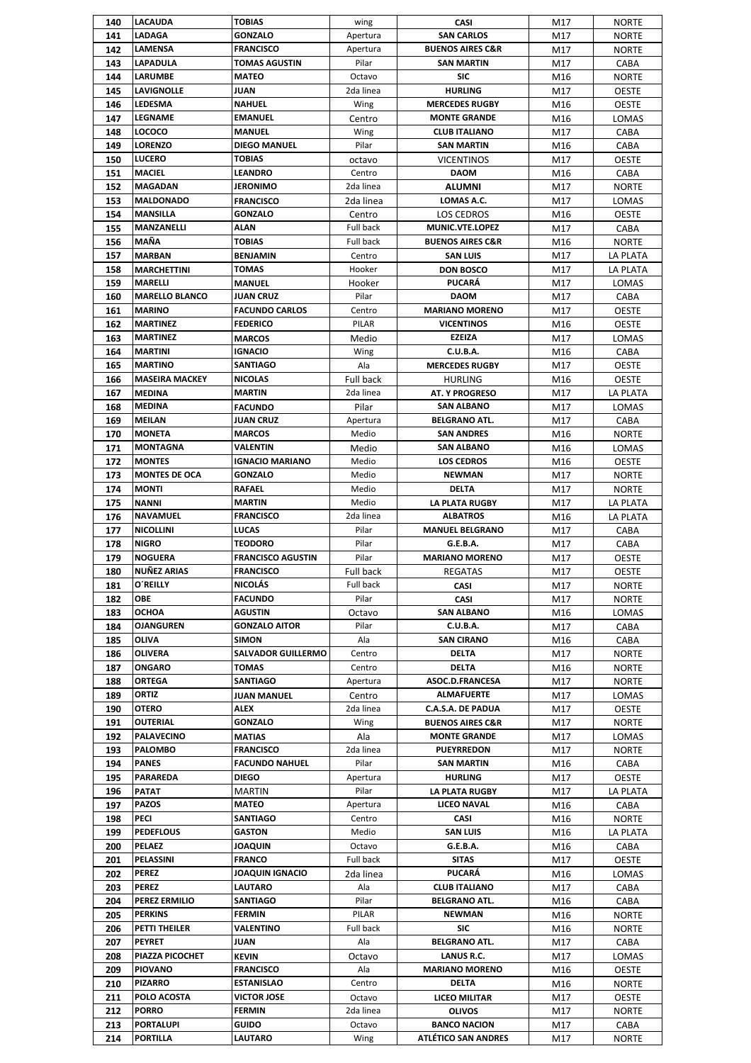| 140 | <b>LACAUDA</b>        | <b>TOBIAS</b>             | wing             | CASI                        | M17 | <b>NORTE</b>    |
|-----|-----------------------|---------------------------|------------------|-----------------------------|-----|-----------------|
| 141 | <b>LADAGA</b>         | <b>GONZALO</b>            | Apertura         | <b>SAN CARLOS</b>           | M17 | <b>NORTE</b>    |
| 142 | <b>LAMENSA</b>        | <b>FRANCISCO</b>          | Apertura         | <b>BUENOS AIRES C&amp;R</b> | M17 | <b>NORTE</b>    |
| 143 | <b>LAPADULA</b>       | <b>TOMAS AGUSTIN</b>      | Pilar            | <b>SAN MARTIN</b>           | M17 | CABA            |
| 144 | LARUMBE               | MATEO                     | Octavo           | SIC                         | M16 | <b>NORTE</b>    |
| 145 | LAVIGNOLLE            | JUAN                      | 2da linea        | <b>HURLING</b>              | M17 | <b>OESTE</b>    |
|     | <b>LEDESMA</b>        | <b>NAHUEL</b>             |                  | <b>MERCEDES RUGBY</b>       |     |                 |
| 146 |                       |                           | Wing             |                             | M16 | <b>OESTE</b>    |
| 147 | <b>LEGNAME</b>        | <b>EMANUEL</b>            | Centro           | <b>MONTE GRANDE</b>         | M16 | LOMAS           |
| 148 | <b>LOCOCO</b>         | <b>MANUEL</b>             | Wing             | <b>CLUB ITALIANO</b>        | M17 | CABA            |
| 149 | <b>LORENZO</b>        | <b>DIEGO MANUEL</b>       | Pilar            | <b>SAN MARTIN</b>           | M16 | CABA            |
| 150 | <b>LUCERO</b>         | <b>TOBIAS</b>             | octavo           | <b>VICENTINOS</b>           | M17 | <b>OESTE</b>    |
| 151 | <b>MACIEL</b>         | <b>LEANDRO</b>            | Centro           | <b>DAOM</b>                 | M16 | CABA            |
| 152 | <b>MAGADAN</b>        | <b>JERONIMO</b>           | 2da linea        | <b>ALUMNI</b>               | M17 | <b>NORTE</b>    |
| 153 | <b>MALDONADO</b>      | <b>FRANCISCO</b>          | 2da linea        | LOMAS A.C.                  | M17 | LOMAS           |
| 154 | <b>MANSILLA</b>       | <b>GONZALO</b>            | Centro           | LOS CEDROS                  | M16 | <b>OESTE</b>    |
| 155 | MANZANELLI            | ALAN                      | Full back        | MUNIC.VTE.LOPEZ             | M17 | CABA            |
| 156 | MAÑA                  | <b>TOBIAS</b>             | Full back        | <b>BUENOS AIRES C&amp;R</b> | M16 | <b>NORTE</b>    |
| 157 | <b>MARBAN</b>         | <b>BENJAMIN</b>           | Centro           | <b>SAN LUIS</b>             | M17 | LA PLATA        |
| 158 | <b>MARCHETTINI</b>    | TOMAS                     | Hooker           | <b>DON BOSCO</b>            | M17 | <b>LA PLATA</b> |
|     | <b>MARELLI</b>        |                           |                  | <b>PUCARÁ</b>               |     |                 |
| 159 |                       | <b>MANUEL</b>             | Hooker           |                             | M17 | LOMAS           |
| 160 | <b>MARELLO BLANCO</b> | JUAN CRUZ                 | Pilar            | <b>DAOM</b>                 | M17 | CABA            |
| 161 | <b>MARINO</b>         | <b>FACUNDO CARLOS</b>     | Centro           | <b>MARIANO MORENO</b>       | M17 | <b>OESTE</b>    |
| 162 | <b>MARTINEZ</b>       | <b>FEDERICO</b>           | PILAR            | <b>VICENTINOS</b>           | M16 | <b>OESTE</b>    |
| 163 | <b>MARTINEZ</b>       | <b>MARCOS</b>             | Medio            | <b>EZEIZA</b>               | M17 | LOMAS           |
| 164 | <b>MARTINI</b>        | <b>IGNACIO</b>            | Wing             | <b>C.U.B.A.</b>             | M16 | CABA            |
| 165 | <b>MARTINO</b>        | <b>SANTIAGO</b>           | Ala              | <b>MERCEDES RUGBY</b>       | M17 | <b>OESTE</b>    |
| 166 | <b>MASEIRA MACKEY</b> | <b>NICOLAS</b>            | Full back        | <b>HURLING</b>              | M16 | <b>OESTE</b>    |
| 167 | <b>MEDINA</b>         | <b>MARTIN</b>             | 2da linea        | <b>AT. Y PROGRESO</b>       | M17 | LA PLATA        |
| 168 | <b>MEDINA</b>         | <b>FACUNDO</b>            | Pilar            | <b>SAN ALBANO</b>           | M17 | LOMAS           |
| 169 | <b>MEILAN</b>         | <b>JUAN CRUZ</b>          | Apertura         | <b>BELGRANO ATL.</b>        | M17 | CABA            |
| 170 | <b>MONETA</b>         | <b>MARCOS</b>             | Medio            | <b>SAN ANDRES</b>           | M16 | <b>NORTE</b>    |
| 171 | <b>MONTAGNA</b>       | VALENTIN                  |                  | <b>SAN ALBANO</b>           |     |                 |
|     | <b>MONTES</b>         | <b>IGNACIO MARIANO</b>    | Medio            |                             | M16 | LOMAS           |
| 172 |                       |                           | Medio            | <b>LOS CEDROS</b>           | M16 | <b>OESTE</b>    |
| 173 | <b>MONTES DE OCA</b>  | <b>GONZALO</b>            | Medio            | <b>NEWMAN</b>               | M17 | <b>NORTE</b>    |
| 174 | <b>MONTI</b>          | <b>RAFAEL</b>             | Medio            | <b>DELTA</b>                | M17 | <b>NORTE</b>    |
| 175 | <b>NANNI</b>          | <b>MARTIN</b>             | Medio            | <b>LA PLATA RUGBY</b>       | M17 | LA PLATA        |
| 176 | <b>NAVAMUEL</b>       | <b>FRANCISCO</b>          | 2da linea        | <b>ALBATROS</b>             | M16 | LA PLATA        |
| 177 | <b>NICOLLINI</b>      | LUCAS                     | Pilar            | <b>MANUEL BELGRANO</b>      | M17 | CABA            |
| 178 | <b>NIGRO</b>          | <b>TEODORO</b>            | Pilar            | <b>G.E.B.A.</b>             | M17 | CABA            |
| 179 | <b>NOGUERA</b>        | <b>FRANCISCO AGUSTIN</b>  | Pilar            | <b>MARIANO MORENO</b>       | M17 | <b>OESTE</b>    |
| 180 | NUÑEZ ARIAS           | <b>FRANCISCO</b>          | <b>Full back</b> | <b>REGATAS</b>              | M17 | <b>OESTE</b>    |
| 181 | <b>O'REILLY</b>       | <b>NICOLAS</b>            | Full back        | CASI                        | M17 | <b>NORTE</b>    |
| 182 | OBE                   | <b>FACUNDO</b>            | Pilar            | CASI                        | M17 | <b>NORTE</b>    |
| 183 | <b>OCHOA</b>          | <b>AGUSTIN</b>            | Octavo           | <b>SAN ALBANO</b>           | M16 | LOMAS           |
| 184 | <b>OJANGUREN</b>      | <b>GONZALO AITOR</b>      | Pilar            | <b>C.U.B.A.</b>             | M17 | CABA            |
| 185 | OLIVA                 | <b>SIMON</b>              | Ala              | <b>SAN CIRANO</b>           | M16 | CABA            |
|     |                       |                           |                  |                             |     |                 |
| 186 | OLIVERA               | <b>SALVADOR GUILLERMO</b> | Centro           | DELTA                       | M17 | <b>NORTE</b>    |
| 187 | <b>ONGARO</b>         | TOMAS                     | Centro           | <b>DELTA</b>                | M16 | <b>NORTE</b>    |
| 188 | ORTEGA                | SANTIAGO                  | Apertura         | ASOC.D.FRANCESA             | M17 | <b>NORTE</b>    |
| 189 | ORTIZ                 | JUAN MANUEL               | Centro           | <b>ALMAFUERTE</b>           | M17 | LOMAS           |
| 190 | <b>OTERO</b>          | ALEX                      | 2da linea        | C.A.S.A. DE PADUA           | M17 | <b>OESTE</b>    |
| 191 | OUTERIAL              | GONZALO                   | Wing             | <b>BUENOS AIRES C&amp;R</b> | M17 | <b>NORTE</b>    |
| 192 | <b>PALAVECINO</b>     | MATIAS                    | Ala              | <b>MONTE GRANDE</b>         | M17 | LOMAS           |
| 193 | <b>PALOMBO</b>        | <b>FRANCISCO</b>          | 2da linea        | <b>PUEYRREDON</b>           | M17 | <b>NORTE</b>    |
| 194 | <b>PANES</b>          | <b>FACUNDO NAHUEL</b>     | Pilar            | <b>SAN MARTIN</b>           | M16 | CABA            |
| 195 | <b>PARAREDA</b>       | <b>DIEGO</b>              | Apertura         | <b>HURLING</b>              | M17 | <b>OESTE</b>    |
| 196 | <b>PATAT</b>          | MARTIN                    | Pilar            | <b>LA PLATA RUGBY</b>       | M17 | LA PLATA        |
| 197 | <b>PAZOS</b>          | MATEO                     | Apertura         | <b>LICEO NAVAL</b>          | M16 | CABA            |
| 198 | PECI                  | SANTIAGO                  | Centro           | CASI                        | M16 | <b>NORTE</b>    |
| 199 | <b>PEDEFLOUS</b>      | <b>GASTON</b>             | Medio            | <b>SAN LUIS</b>             | M16 | LA PLATA        |
| 200 | <b>PELAEZ</b>         | JOAQUIN                   | Octavo           | G.E.B.A.                    |     |                 |
|     | PELASSINI             | <b>FRANCO</b>             | Full back        | <b>SITAS</b>                | M16 | CABA            |
| 201 |                       |                           |                  | <b>PUCARÁ</b>               | M17 | <b>OESTE</b>    |
| 202 | <b>PEREZ</b>          | JOAQUIN IGNACIO           | 2da linea        |                             | M16 | LOMAS           |
| 203 | <b>PEREZ</b>          | LAUTARO                   | Ala              | <b>CLUB ITALIANO</b>        | M17 | CABA            |
| 204 | <b>PEREZ ERMILIO</b>  | SANTIAGO                  | Pilar            | <b>BELGRANO ATL.</b>        | M16 | CABA            |
| 205 | <b>PERKINS</b>        | FERMIN                    | PILAR            | <b>NEWMAN</b>               | M16 | <b>NORTE</b>    |
| 206 | PETTI THEILER         | VALENTINO                 | Full back        | <b>SIC</b>                  | M16 | <b>NORTE</b>    |
| 207 | <b>PEYRET</b>         | JUAN                      | Ala              | <b>BELGRANO ATL.</b>        | M17 | CABA            |
| 208 | PIAZZA PICOCHET       | KEVIN                     | Octavo           | LANUS R.C.                  | M17 | LOMAS           |
| 209 | <b>PIOVANO</b>        | <b>FRANCISCO</b>          | Ala              | <b>MARIANO MORENO</b>       | M16 | <b>OESTE</b>    |
| 210 | <b>PIZARRO</b>        | <b>ESTANISLAO</b>         | Centro           | <b>DELTA</b>                | M16 | <b>NORTE</b>    |
| 211 | POLO ACOSTA           | VICTOR JOSE               | Octavo           | LICEO MILITAR               | M17 | <b>OESTE</b>    |
| 212 | <b>PORRO</b>          | FERMIN                    | 2da linea        | <b>OLIVOS</b>               | M17 | <b>NORTE</b>    |
| 213 | PORTALUPI             | GUIDO                     | Octavo           | <b>BANCO NACION</b>         | M17 | CABA            |
| 214 | <b>PORTILLA</b>       | LAUTARO                   | Wing             | <b>ATLÉTICO SAN ANDRES</b>  | M17 | <b>NORTE</b>    |
|     |                       |                           |                  |                             |     |                 |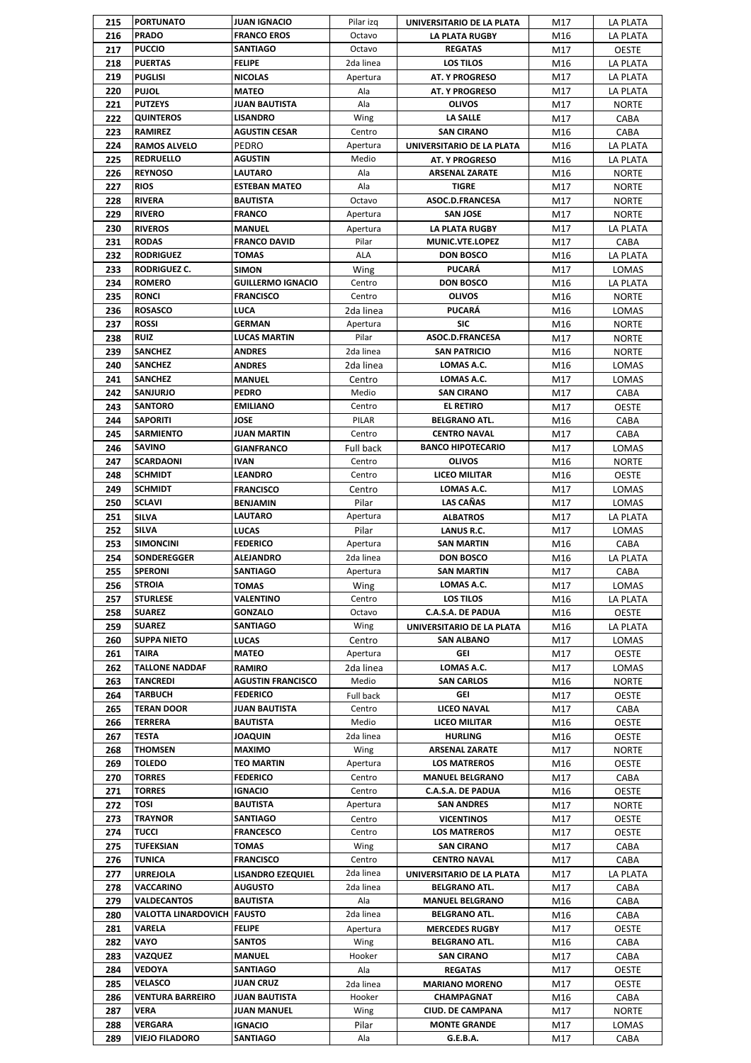| 215 | <b>PORTUNATO</b>             | <b>JUAN IGNACIO</b>      | Pilar izq | UNIVERSITARIO DE LA PLATA | M17 | LA PLATA        |
|-----|------------------------------|--------------------------|-----------|---------------------------|-----|-----------------|
| 216 | <b>PRADO</b>                 | <b>FRANCO EROS</b>       | Octavo    | LA PLATA RUGBY            | M16 | LA PLATA        |
| 217 | <b>PUCCIO</b>                | <b>SANTIAGO</b>          | Octavo    | <b>REGATAS</b>            | M17 | <b>OESTE</b>    |
| 218 | <b>PUERTAS</b>               | Felipe                   | 2da linea | <b>LOS TILOS</b>          | M16 | LA PLATA        |
| 219 | <b>PUGLISI</b>               | NICOLAS                  | Apertura  | <b>AT. Y PROGRESO</b>     | M17 | LA PLATA        |
| 220 | <b>PUJOL</b>                 | MATEO                    | Ala       | <b>AT. Y PROGRESO</b>     | M17 | LA PLATA        |
| 221 | <b>PUTZEYS</b>               | <b>JUAN BAUTISTA</b>     | Ala       | <b>OLIVOS</b>             | M17 | <b>NORTE</b>    |
| 222 | <b>QUINTEROS</b>             | <b>LISANDRO</b>          | Wing      | <b>LA SALLE</b>           | M17 | CABA            |
| 223 | <b>RAMIREZ</b>               | AGUSTIN CESAR            | Centro    | <b>SAN CIRANO</b>         | M16 | CABA            |
| 224 | <b>RAMOS ALVELO</b>          | PEDRO                    | Apertura  | UNIVERSITARIO DE LA PLATA | M16 | LA PLATA        |
| 225 | <b>REDRUELLO</b>             | AGUSTIN                  | Medio     | <b>AT. Y PROGRESO</b>     | M16 | LA PLATA        |
| 226 | <b>REYNOSO</b>               | <b>LAUTARO</b>           | Ala       | <b>ARSENAL ZARATE</b>     | M16 | <b>NORTE</b>    |
| 227 | <b>RIOS</b>                  | <b>ESTEBAN MATEO</b>     | Ala       | <b>TIGRE</b>              | M17 | <b>NORTE</b>    |
| 228 | <b>RIVERA</b>                | <b>BAUTISTA</b>          | Octavo    | ASOC.D.FRANCESA           | M17 | <b>NORTE</b>    |
| 229 | <b>RIVERO</b>                | <b>FRANCO</b>            | Apertura  | <b>SAN JOSE</b>           | M17 | <b>NORTE</b>    |
| 230 | <b>RIVEROS</b>               | <b>MANUEL</b>            | Apertura  | LA PLATA RUGBY            | M17 | LA PLATA        |
| 231 | <b>RODAS</b>                 | <b>FRANCO DAVID</b>      | Pilar     | MUNIC.VTE.LOPEZ           | M17 | CABA            |
| 232 | <b>RODRIGUEZ</b>             | TOMAS                    | ALA       | <b>DON BOSCO</b>          | M16 | LA PLATA        |
| 233 | <b>RODRIGUEZ C.</b>          | <b>SIMON</b>             | Wing      | <b>PUCARÁ</b>             | M17 | LOMAS           |
| 234 | <b>ROMERO</b>                | <b>GUILLERMO IGNACIO</b> | Centro    | <b>DON BOSCO</b>          | M16 | LA PLATA        |
| 235 | <b>RONCI</b>                 | <b>FRANCISCO</b>         | Centro    | <b>OLIVOS</b>             | M16 | <b>NORTE</b>    |
| 236 | <b>ROSASCO</b>               | LUCA                     | 2da linea | <b>PUCARÁ</b>             | M16 | LOMAS           |
| 237 | <b>ROSSI</b>                 | <b>GERMAN</b>            | Apertura  | <b>SIC</b>                | M16 | <b>NORTE</b>    |
| 238 | <b>RUIZ</b>                  | <b>LUCAS MARTIN</b>      | Pilar     | ASOC.D.FRANCESA           | M17 | <b>NORTE</b>    |
| 239 | <b>SANCHEZ</b>               | ANDRES                   | 2da linea | <b>SAN PATRICIO</b>       | M16 | <b>NORTE</b>    |
| 240 | <b>SANCHEZ</b>               | ANDRES                   | 2da linea | LOMAS A.C.                | M16 | LOMAS           |
| 241 | <b>SANCHEZ</b>               | <b>MANUEL</b>            | Centro    | LOMAS A.C.                | M17 | LOMAS           |
| 242 | SANJURJO                     | <b>PEDRO</b>             | Medio     | <b>SAN CIRANO</b>         | M17 | CABA            |
| 243 | <b>SANTORO</b>               | <b>EMILIANO</b>          | Centro    | <b>EL RETIRO</b>          | M17 | <b>OESTE</b>    |
| 244 | <b>SAPORITI</b>              | JOSE                     | PILAR     | <b>BELGRANO ATL.</b>      | M16 | CABA            |
| 245 | <b>SARMIENTO</b>             | JUAN MARTIN              | Centro    | <b>CENTRO NAVAL</b>       | M17 | CABA            |
| 246 | <b>SAVINO</b>                | <b>GIANFRANCO</b>        | Full back | <b>BANCO HIPOTECARIO</b>  | M17 | LOMAS           |
| 247 | <b>SCARDAONI</b>             | IVAN                     | Centro    | <b>OLIVOS</b>             | M16 | <b>NORTE</b>    |
| 248 | <b>SCHMIDT</b>               | <b>LEANDRO</b>           | Centro    | <b>LICEO MILITAR</b>      | M16 | <b>OESTE</b>    |
| 249 | <b>SCHMIDT</b>               | <b>FRANCISCO</b>         | Centro    | LOMAS A.C.                | M17 | LOMAS           |
| 250 | <b>SCLAVI</b>                | <b>BENJAMIN</b>          | Pilar     | LAS CAÑAS                 | M17 | LOMAS           |
| 251 | <b>SILVA</b>                 | LAUTARO                  | Apertura  | <b>ALBATROS</b>           | M17 | LA PLATA        |
| 252 | <b>SILVA</b>                 | LUCAS                    | Pilar     | LANUS R.C.                | M17 | LOMAS           |
| 253 | <b>SIMONCINI</b>             | <b>FEDERICO</b>          | Apertura  | <b>SAN MARTIN</b>         | M16 | CABA            |
| 254 | <b>SONDEREGGER</b>           | ALEJANDRO                | 2da linea | <b>DON BOSCO</b>          | M16 | <b>LA PLATA</b> |
| 255 | <b>SPERONI</b>               | <b>SANTIAGO</b>          | Apertura  | <b>SAN MARTIN</b>         | M17 | CABA            |
| 256 | <b>STROIA</b>                | TOMAS                    | Wing      | LOMAS A.C.                | M17 | LOMAS           |
| 257 | <b>STURLESE</b>              | VALENTINO                | Centro    | <b>LOS TILOS</b>          | M16 | LA PLATA        |
| 258 | <b>SUAREZ</b>                | GONZALO                  | Octavo    | <b>C.A.S.A. DE PADUA</b>  | M16 | <b>OESTE</b>    |
| 259 | <b>SUAREZ</b>                | SANTIAGO                 | Wing      | UNIVERSITARIO DE LA PLATA | M16 | LA PLATA        |
| 260 | <b>SUPPA NIETO</b>           | LUCAS                    | Centro    | <b>SAN ALBANO</b>         | M17 | LOMAS           |
| 261 | TAIRA                        | MATEO                    | Apertura  | GEI                       | M17 | <b>OESTE</b>    |
| 262 | <b>TALLONE NADDAF</b>        | RAMIRO                   | 2da linea | LOMAS A.C.                | M17 | LOMAS           |
| 263 | <b>TANCREDI</b>              | <b>AGUSTIN FRANCISCO</b> | Medio     | <b>SAN CARLOS</b>         | M16 | <b>NORTE</b>    |
| 264 | <b>TARBUCH</b>               | <b>FEDERICO</b>          | Full back | GEI                       | M17 | <b>OESTE</b>    |
| 265 | <b>TERAN DOOR</b>            | JUAN BAUTISTA            | Centro    | <b>LICEO NAVAL</b>        | M17 | CABA            |
| 266 | <b>TERRERA</b>               | <b>BAUTISTA</b>          | Medio     | LICEO MILITAR             | M16 | <b>OESTE</b>    |
| 267 | TESTA                        | <b>UIUDAOL</b>           | 2da linea | <b>HURLING</b>            | M16 | <b>OESTE</b>    |
| 268 | <b>THOMSEN</b>               | MAXIMO                   | Wing      | <b>ARSENAL ZARATE</b>     | M17 | <b>NORTE</b>    |
| 269 | <b>TOLEDO</b>                | <b>TEO MARTIN</b>        | Apertura  | <b>LOS MATREROS</b>       | M16 | <b>OESTE</b>    |
| 270 | <b>TORRES</b>                | <b>FEDERICO</b>          | Centro    | <b>MANUEL BELGRANO</b>    | M17 | CABA            |
| 271 | <b>TORRES</b>                | IGNACIO                  | Centro    | C.A.S.A. DE PADUA         | M16 | OESTE           |
| 272 | TOSI                         | <b>BAUTISTA</b>          | Apertura  | <b>SAN ANDRES</b>         | M17 | <b>NORTE</b>    |
| 273 | <b>TRAYNOR</b>               | SANTIAGO                 | Centro    | <b>VICENTINOS</b>         | M17 | <b>OESTE</b>    |
| 274 | <b>TUCCI</b>                 | <b>FRANCESCO</b>         | Centro    | <b>LOS MATREROS</b>       | M17 | <b>OESTE</b>    |
| 275 | <b>TUFEKSIAN</b>             | TOMAS                    | Wing      | <b>SAN CIRANO</b>         | M17 | CABA            |
| 276 | <b>TUNICA</b>                | <b>FRANCISCO</b>         | Centro    | <b>CENTRO NAVAL</b>       | M17 | CABA            |
| 277 | <b>URREJOLA</b>              | <b>LISANDRO EZEQUIEL</b> | 2da linea | UNIVERSITARIO DE LA PLATA | M17 | LA PLATA        |
| 278 | VACCARINO                    | <b>AUGUSTO</b>           | 2da linea | <b>BELGRANO ATL.</b>      | M17 | CABA            |
| 279 | <b>VALDECANTOS</b>           | <b>BAUTISTA</b>          | Ala       | <b>MANUEL BELGRANO</b>    | M16 | CABA            |
| 280 | VALOTTA LINARDOVICH   FAUSTO |                          | 2da linea | <b>BELGRANO ATL.</b>      | M16 | CABA            |
| 281 | VARELA                       | FELIPE                   | Apertura  | <b>MERCEDES RUGBY</b>     | M17 | <b>OESTE</b>    |
| 282 | VAYO                         | SANTOS                   | Wing      | <b>BELGRANO ATL.</b>      | M16 | CABA            |
| 283 | VAZQUEZ                      | MANUEL                   | Hooker    | <b>SAN CIRANO</b>         | M17 | CABA            |
| 284 | VEDOYA                       | SANTIAGO                 | Ala       | <b>REGATAS</b>            | M17 | <b>OESTE</b>    |
| 285 | VELASCO                      | <b>JUAN CRUZ</b>         | 2da linea | <b>MARIANO MORENO</b>     | M17 | <b>OESTE</b>    |
| 286 | <b>VENTURA BARREIRO</b>      | JUAN BAUTISTA            | Hooker    | CHAMPAGNAT                | M16 | CABA            |
| 287 | VERA                         | JUAN MANUEL              | Wing      | <b>CIUD. DE CAMPANA</b>   | M17 | <b>NORTE</b>    |
| 288 | VERGARA                      | IGNACIO                  | Pilar     | <b>MONTE GRANDE</b>       | M17 | LOMAS           |
| 289 | <b>VIEJO FILADORO</b>        | SANTIAGO                 | Ala       | G.E.B.A.                  | M17 | CABA            |